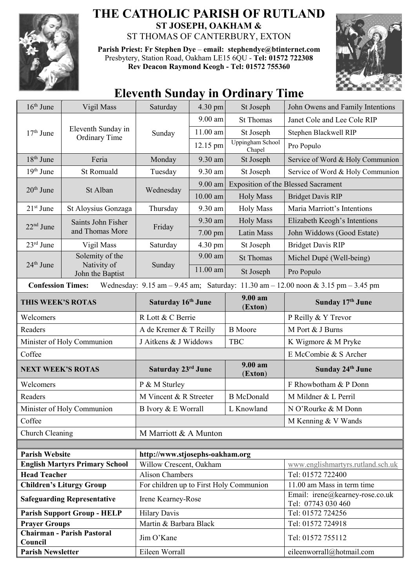

## **THE CATHOLIC PARISH OF RUTLAND ST JOSEPH, OAKHAM &**  ST THOMAS OF CANTERBURY, EXTON

**Parish Priest: Fr Stephen Dye** – **[email: stephendye@btinternet.com](mailto:email:%20%20stephendye@btinternet.com)** Presbytery, Station Road, Oakham LE15 6QU - **Tel: 01572 722308 Rev Deacon Raymond Keogh - Tel: 01572 755360**



## **Eleventh Sunday in Ordinary Time**

| $16th$ June                                                                                                                                                         | Vigil Mass                                         | Saturday                                                   | 4.30 pm    | St Joseph                         | John Owens and Family Intentions                      |  |
|---------------------------------------------------------------------------------------------------------------------------------------------------------------------|----------------------------------------------------|------------------------------------------------------------|------------|-----------------------------------|-------------------------------------------------------|--|
| $17th$ June                                                                                                                                                         | Eleventh Sunday in<br><b>Ordinary Time</b>         | Sunday                                                     | $9.00$ am  | <b>St Thomas</b>                  | Janet Cole and Lee Cole RIP                           |  |
|                                                                                                                                                                     |                                                    |                                                            | $11.00$ am | St Joseph                         | Stephen Blackwell RIP                                 |  |
|                                                                                                                                                                     |                                                    |                                                            | 12.15 pm   | <b>Uppingham School</b><br>Chapel | Pro Populo                                            |  |
| $18th$ June                                                                                                                                                         | Feria                                              | Monday                                                     | 9.30 am    | St Joseph                         | Service of Word & Holy Communion                      |  |
| $19th$ June                                                                                                                                                         | St Romuald                                         | Tuesday                                                    | 9.30 am    | St Joseph                         | Service of Word & Holy Communion                      |  |
| $20th$ June                                                                                                                                                         | St Alban                                           | Wednesday                                                  | 9.00 am    |                                   | <b>Exposition of the Blessed Sacrament</b>            |  |
|                                                                                                                                                                     |                                                    |                                                            | $10.00$ am | <b>Holy Mass</b>                  | <b>Bridget Davis RIP</b>                              |  |
| $21st$ June                                                                                                                                                         | St Aloysius Gonzaga                                | Thursday                                                   | 9.30 am    | <b>Holy Mass</b>                  | Maria Marriott's Intentions                           |  |
| $22nd$ June                                                                                                                                                         | Saints John Fisher<br>and Thomas More              | Friday                                                     | 9.30 am    | <b>Holy Mass</b>                  | Elizabeth Keogh's Intentions                          |  |
|                                                                                                                                                                     |                                                    |                                                            | 7.00 pm    | Latin Mass                        | John Widdows (Good Estate)                            |  |
| $23rd$ June                                                                                                                                                         | Vigil Mass                                         | Saturday                                                   | 4.30 pm    | St Joseph                         | <b>Bridget Davis RIP</b>                              |  |
| $24th$ June                                                                                                                                                         | Solemity of the<br>Nativity of<br>John the Baptist | Sunday                                                     | 9.00 am    | <b>St Thomas</b>                  | Michel Dupé (Well-being)                              |  |
|                                                                                                                                                                     |                                                    |                                                            | 11.00 am   | St Joseph                         | Pro Populo                                            |  |
| <b>Confession Times:</b><br>Wednesday: $9.15 \text{ am} - 9.45 \text{ am}$ ; Saturday: $11.30 \text{ am} - 12.00 \text{ noon} \& 3.15 \text{ pm} - 3.45 \text{ pm}$ |                                                    |                                                            |            |                                   |                                                       |  |
| THIS WEEK'S ROTAS                                                                                                                                                   |                                                    | Saturday 16th June                                         |            | 9.00 am<br>(Exton)                | Sunday 17th June                                      |  |
| Welcomers                                                                                                                                                           |                                                    | R Lott & C Berrie                                          |            |                                   | P Reilly & Y Trevor                                   |  |
| Readers                                                                                                                                                             |                                                    | A de Kremer & T Reilly                                     |            | <b>B</b> Moore                    | M Port & J Burns                                      |  |
| Minister of Holy Communion                                                                                                                                          |                                                    | J Aitkens & J Widdows                                      |            | <b>TBC</b>                        | K Wigmore & M Pryke                                   |  |
| Coffee                                                                                                                                                              |                                                    |                                                            |            |                                   | E McCombie & S Archer                                 |  |
| <b>NEXT WEEK'S ROTAS</b>                                                                                                                                            |                                                    | Saturday 23rd June                                         |            | $9.00 a$ m<br>(Exton)             | <b>Sunday 24th June</b>                               |  |
| Welcomers                                                                                                                                                           |                                                    | P & M Sturley                                              |            |                                   | F Rhowbotham & P Donn                                 |  |
| Readers                                                                                                                                                             |                                                    | M Vincent & R Streeter                                     |            | <b>B</b> McDonald                 | M Mildner & L Perril                                  |  |
| Minister of Holy Communion                                                                                                                                          |                                                    | B Ivory & E Worrall<br>L Knowland                          |            |                                   | N O'Rourke & M Donn                                   |  |
| Coffee                                                                                                                                                              |                                                    |                                                            |            |                                   | M Kenning & V Wands                                   |  |
| Church Cleaning                                                                                                                                                     |                                                    | M Marriott & A Munton                                      |            |                                   |                                                       |  |
| <b>Parish Website</b>                                                                                                                                               |                                                    |                                                            |            |                                   |                                                       |  |
| <b>English Martyrs Primary School</b>                                                                                                                               |                                                    | http://www.stjosephs-oakham.org<br>Willow Crescent, Oakham |            |                                   | www.englishmartyrs.rutland.sch.uk                     |  |
| <b>Head Teacher</b>                                                                                                                                                 |                                                    | <b>Alison Chambers</b>                                     |            |                                   | Tel: 01572 722400                                     |  |
| <b>Children's Liturgy Group</b>                                                                                                                                     |                                                    | For children up to First Holy Communion                    |            |                                   | 11.00 am Mass in term time                            |  |
| <b>Safeguarding Representative</b>                                                                                                                                  |                                                    | Irene Kearney-Rose                                         |            |                                   | Email: irene@kearney-rose.co.uk<br>Tel: 07743 030 460 |  |
| <b>Parish Support Group - HELP</b>                                                                                                                                  |                                                    | <b>Hilary Davis</b>                                        |            |                                   | Tel: 01572 724256                                     |  |
| <b>Prayer Groups</b>                                                                                                                                                |                                                    | Martin & Barbara Black                                     |            |                                   | Tel: 01572 724918                                     |  |
| <b>Chairman - Parish Pastoral</b><br>Council                                                                                                                        |                                                    | Jim O'Kane                                                 |            |                                   | Tel: 01572 755112                                     |  |
| <b>Parish Newsletter</b>                                                                                                                                            |                                                    | Eileen Worrall                                             |            |                                   | eileenworrall@hotmail.com                             |  |